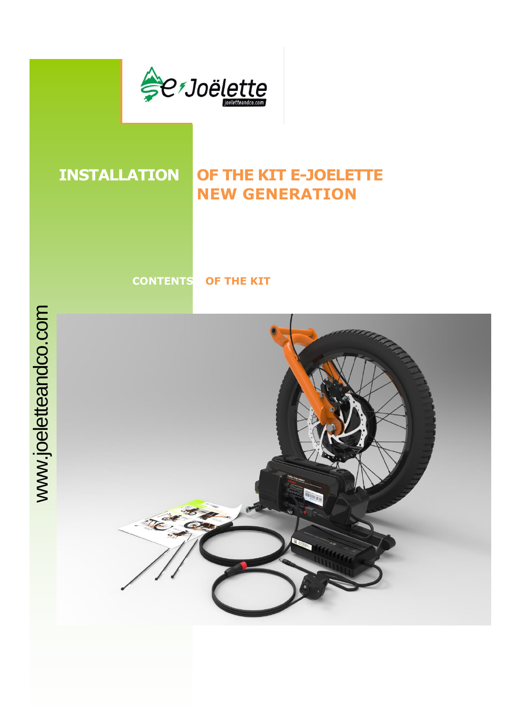

## **INSTALLATION OF THE KIT E-JOELETTE NEW GENERATION**

**CONTENTS OF THE KIT** 

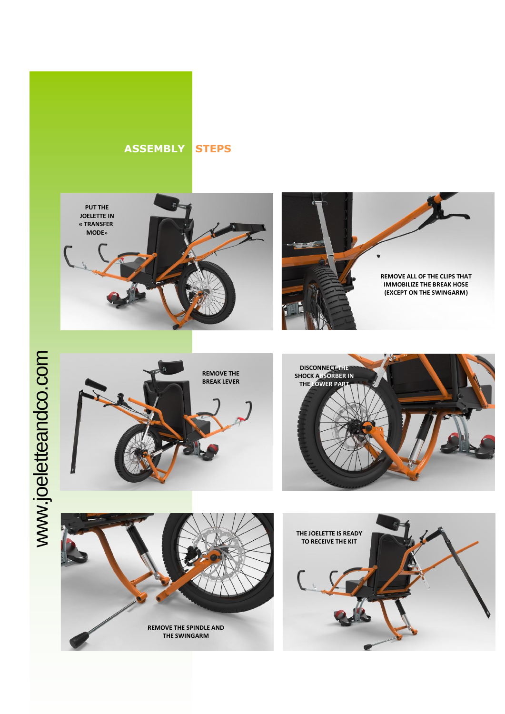



**REMOVE ALL OF THE CLIPS THAT IMMOBILIZE THE BREAK HOSE (EXCEPT ON THE SWINGARM)**



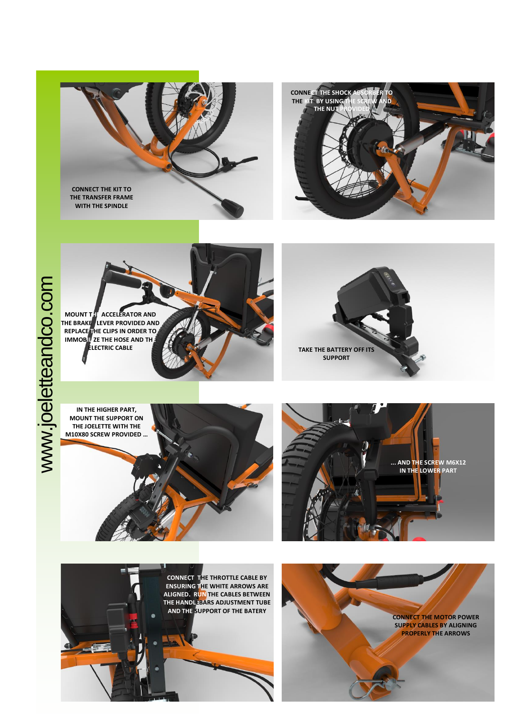